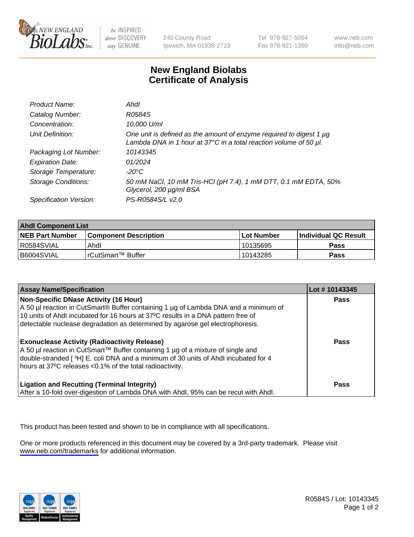

be INSPIRED drive DISCOVERY stay GENUINE

240 County Road Ipswich, MA 01938-2723 Tel 978-927-5054 Fax 978-921-1350

www.neb.com info@neb.com

## **New England Biolabs Certificate of Analysis**

| Product Name:              | Ahdl                                                                                                                                                    |
|----------------------------|---------------------------------------------------------------------------------------------------------------------------------------------------------|
| Catalog Number:            | R0584S                                                                                                                                                  |
| Concentration:             | 10,000 U/ml                                                                                                                                             |
| Unit Definition:           | One unit is defined as the amount of enzyme required to digest 1 µg<br>Lambda DNA in 1 hour at $37^{\circ}$ C in a total reaction volume of 50 $\mu$ l. |
| Packaging Lot Number:      | 10143345                                                                                                                                                |
| <b>Expiration Date:</b>    | 01/2024                                                                                                                                                 |
| Storage Temperature:       | -20°C                                                                                                                                                   |
| <b>Storage Conditions:</b> | 50 mM NaCl, 10 mM Tris-HCl (pH 7.4), 1 mM DTT, 0.1 mM EDTA, 50%<br>Glycerol, 200 µg/ml BSA                                                              |
| Specification Version:     | PS-R0584S/L v2.0                                                                                                                                        |

| <b>Ahdl Component List</b> |                              |            |                             |  |
|----------------------------|------------------------------|------------|-----------------------------|--|
| <b>NEB Part Number</b>     | <b>Component Description</b> | Lot Number | <b>Individual QC Result</b> |  |
| I R0584SVIAL               | Ahdl                         | 10135695   | Pass                        |  |
| I B6004SVIAL               | l rCutSmart™ Buffer          | 10143285   | Pass                        |  |

| <b>Assay Name/Specification</b>                                                                                                                                                                                                                                                                   | Lot #10143345 |
|---------------------------------------------------------------------------------------------------------------------------------------------------------------------------------------------------------------------------------------------------------------------------------------------------|---------------|
| Non-Specific DNase Activity (16 Hour)<br>A 50 µl reaction in CutSmart® Buffer containing 1 µg of Lambda DNA and a minimum of<br>10 units of Ahdl incubated for 16 hours at 37°C results in a DNA pattern free of<br>detectable nuclease degradation as determined by agarose gel electrophoresis. | <b>Pass</b>   |
| <b>Exonuclease Activity (Radioactivity Release)</b><br>A 50 µl reaction in CutSmart™ Buffer containing 1 µg of a mixture of single and<br>double-stranded [3H] E. coli DNA and a minimum of 30 units of Ahdl incubated for 4<br>hours at 37°C releases <0.1% of the total radioactivity.          | Pass          |
| <b>Ligation and Recutting (Terminal Integrity)</b><br>After a 10-fold over-digestion of Lambda DNA with Ahdl, 95% can be recut with Ahdl.                                                                                                                                                         | Pass          |

This product has been tested and shown to be in compliance with all specifications.

One or more products referenced in this document may be covered by a 3rd-party trademark. Please visit <www.neb.com/trademarks>for additional information.